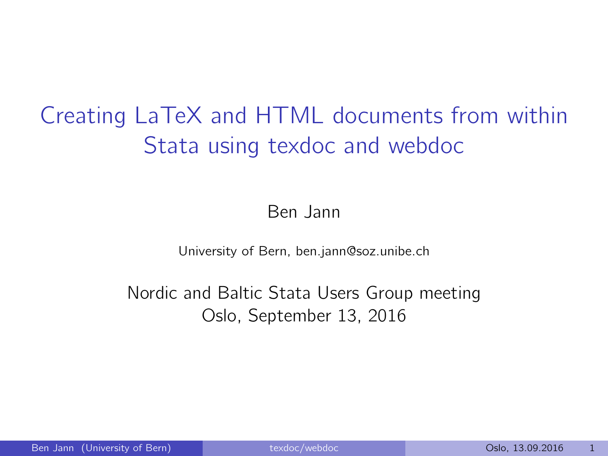# Creating LaTeX and HTML documents from within Stata using texdoc and webdoc

Ben Jann

University of Bern, ben.jann@soz.unibe.ch

Nordic and Baltic Stata Users Group meeting Oslo, September 13, 2016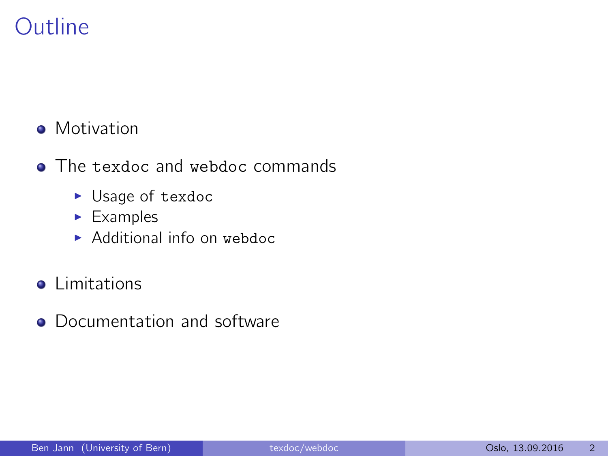## **Outline**

#### • Motivation

- The texdoc and webdoc commands
	- $\blacktriangleright$  Usage of texdoc
	- $\blacktriangleright$  Examples
	- $\blacktriangleright$  Additional info on webdoc
- **o** Limitations
- Documentation and software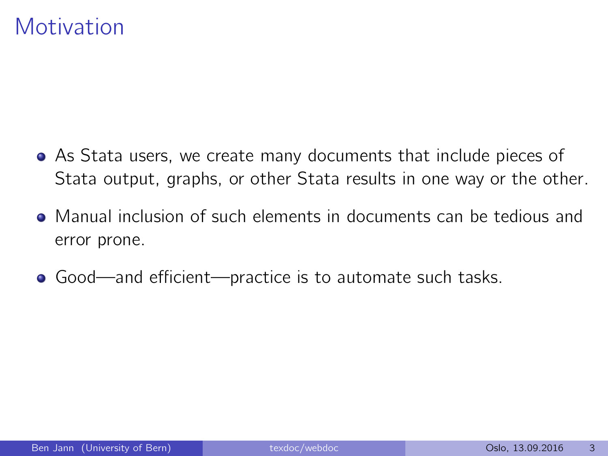### **Motivation**

- As Stata users, we create many documents that include pieces of Stata output, graphs, or other Stata results in one way or the other.
- Manual inclusion of such elements in documents can be tedious and error prone.
- Good—and efficient—practice is to automate such tasks.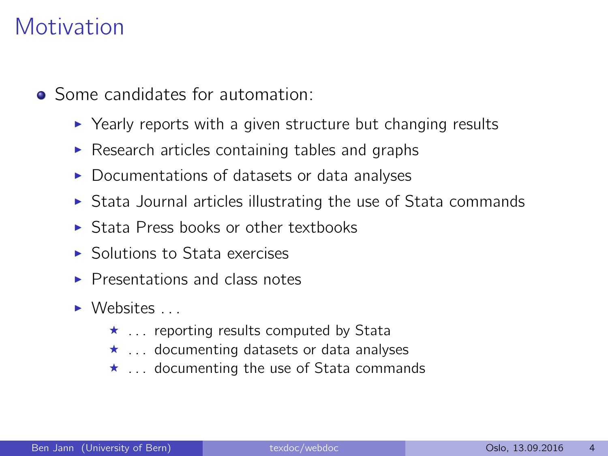## Motivation

- Some candidates for automation:
	- $\triangleright$  Yearly reports with a given structure but changing results
	- $\triangleright$  Research articles containing tables and graphs
	- $\triangleright$  Documentations of datasets or data analyses
	- $\triangleright$  Stata Journal articles illustrating the use of Stata commands
	- $\triangleright$  Stata Press books or other textbooks
	- $\blacktriangleright$  Solutions to Stata exercises
	- $\blacktriangleright$  Presentations and class notes
	- $\triangleright$  Websites ...
		- $\star$  . . . reporting results computed by Stata
		- $\star$  ... documenting datasets or data analyses
		- $\star$  . . . documenting the use of Stata commands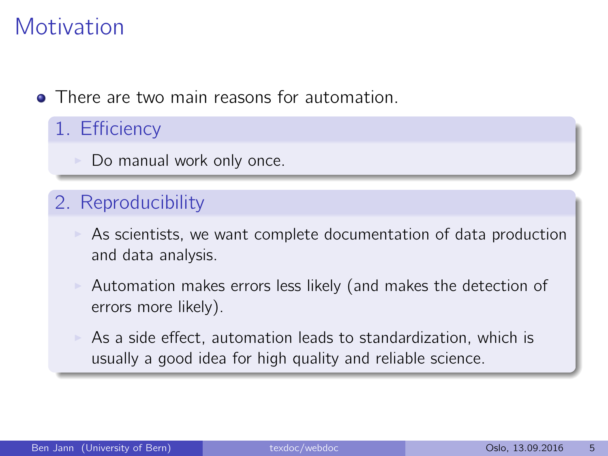## **Motivation**

- **There are two main reasons for automation.** 
	- 1. Efficiency
		- Do manual work only once.

#### 2. Reproducibility

- As scientists, we want complete documentation of data production and data analysis.
- $\triangleright$  Automation makes errors less likely (and makes the detection of errors more likely).
	- As a side effect, automation leads to standardization, which is usually a good idea for high quality and reliable science.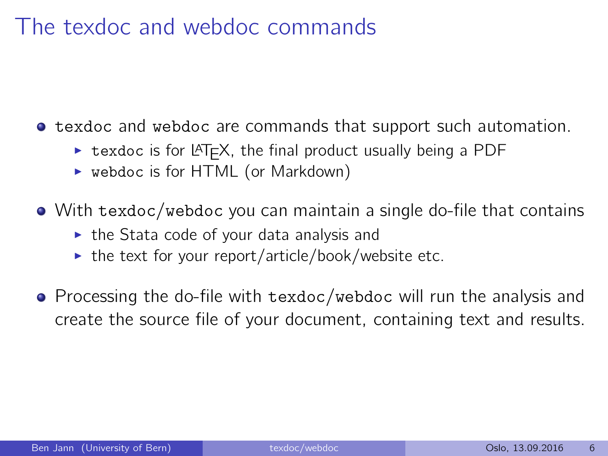#### The texdoc and webdoc commands

**• texdoc and webdoc are commands that support such automation.** 

- $\triangleright$  texdoc is for LAT<sub>E</sub>X, the final product usually being a PDF
- $\triangleright$  webdoc is for HTML (or Markdown)

With texdoc/webdoc you can maintain a single do-file that contains

- $\triangleright$  the Stata code of your data analysis and
- $\triangleright$  the text for your report/article/book/website etc.
- Processing the do-file with texdoc/webdoc will run the analysis and create the source file of your document, containing text and results.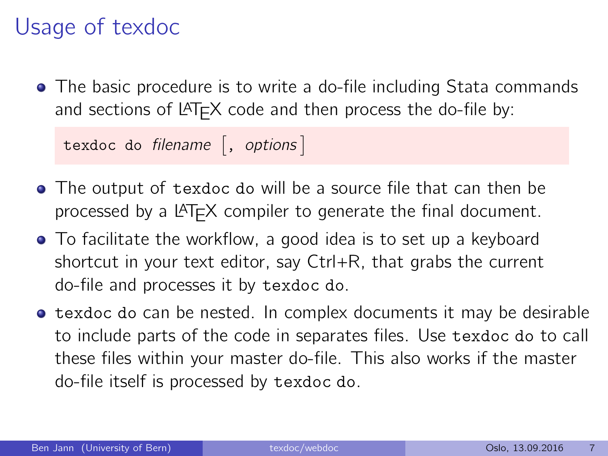## Usage of texdoc

• The basic procedure is to write a do-file including Stata commands and sections of LAT<sub>E</sub>X code and then process the do-file by:

 $\quad$  texdoc do filename  $\big[$  ,  $~$  options  $\big]$ 

- The output of texdoc do will be a source file that can then be processed by a LATEX compiler to generate the final document.
- To facilitate the workflow, a good idea is to set up a keyboard shortcut in your text editor, say Ctrl+R, that grabs the current do-file and processes it by texdoc do.
- **•** texdoc do can be nested. In complex documents it may be desirable to include parts of the code in separates files. Use texdoc do to call these files within your master do-file. This also works if the master do-file itself is processed by texdoc do.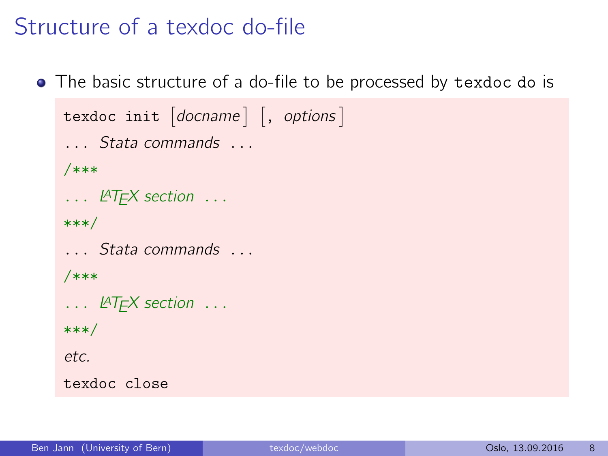#### Structure of a texdoc do-file

The basic structure of a do-file to be processed by texdoc do is

```
\texttt{texdo} \texttt{c init} \texttt{do} \texttt{cname} \texttt{c} , \texttt{options} \texttt{c}... Stata commands ...
/***
... LAT<sub>F</sub>X section ...
***/
... Stata commands ...
/***
... LAT<sub>F</sub>X section ...
***/
etc.
texdoc close
```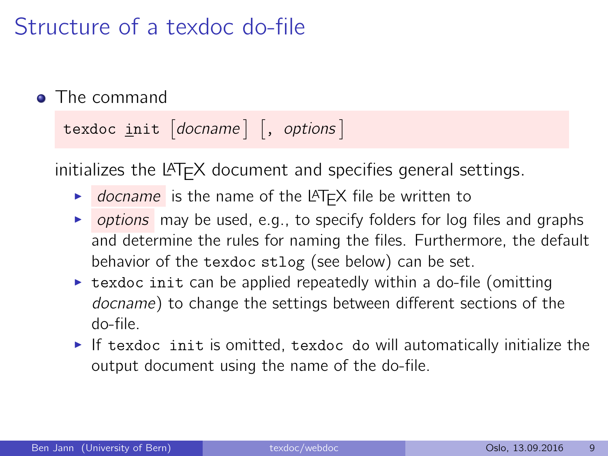## Structure of a texdoc do-file

**•** The command

texdoc  $\text{init}$   $|$  docname  $|$   $|$ , options  $|$ 

 $initializes$  the LAT<sub>F</sub>X document and specifies general settings.

- $\triangleright$  docname is the name of the LAT<sub>E</sub>X file be written to
- $\triangleright$  options may be used, e.g., to specify folders for log files and graphs and determine the rules for naming the files. Furthermore, the default behavior of the texdoc stlog (see below) can be set.
- $\triangleright$  texdoc init can be applied repeatedly within a do-file (omitting docname) to change the settings between different sections of the do-file.
- If texdoc init is omitted, texdoc do will automatically initialize the output document using the name of the do-file.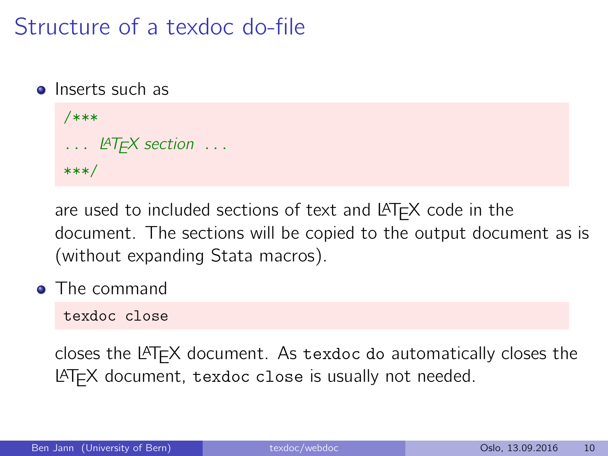## Structure of a texdoc do-file

• Inserts such as

```
/***
\ldots LAT<sub>F</sub>X section \ldots***/
```
are used to included sections of text and  $LAT$  $\overline{F}X$  code in the document. The sections will be copied to the output document as is (without expanding Stata macros).

**•** The command

texdoc close

closes the LATEX document. As texdoc do automatically closes the LATEX document, texdoc close is usually not needed.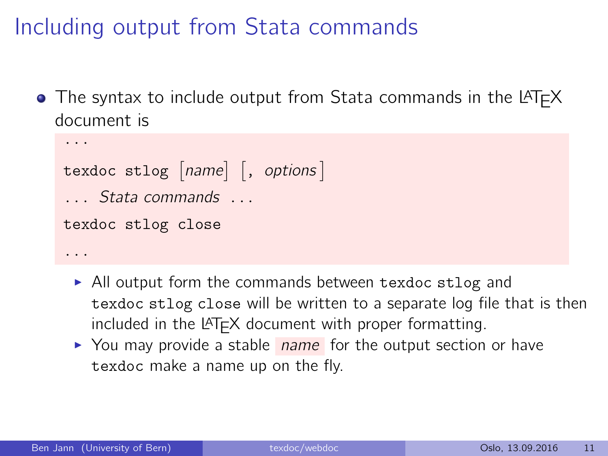# Including output from Stata commands

 $\bullet$  The syntax to include output from Stata commands in the LAT<sub>F</sub>X document is

```
...
texdoc stlog [name] [, options]
... Stata commands ...
texdoc stlog close
...
```
- $\triangleright$  All output form the commands between texdoc stlog and texdoc stlog close will be written to a separate log file that is then included in the  $\angle$ FIFX document with proper formatting.
- $\triangleright$  You may provide a stable *name* for the output section or have texdoc make a name up on the fly.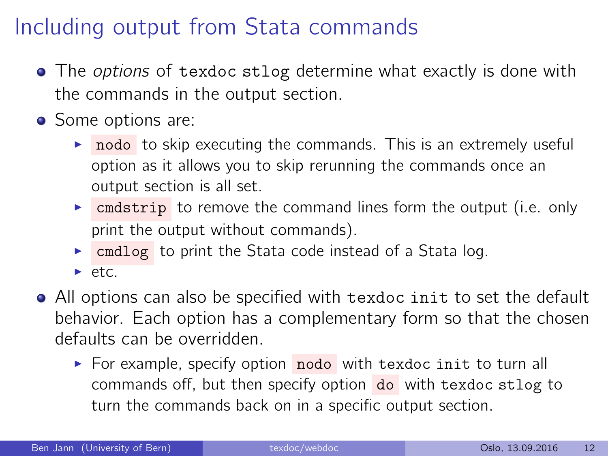## Including output from Stata commands

- The *options* of texdoc stlog determine what exactly is done with the commands in the output section.
- Some options are:
	- $\triangleright$  nodo to skip executing the commands. This is an extremely useful option as it allows you to skip rerunning the commands once an output section is all set.
	- $\triangleright$  cmdstrip to remove the command lines form the output (i.e. only print the output without commands).
	- $\triangleright$  cmdlog to print the Stata code instead of a Stata log.
	- $\blacktriangleright$  etc.
- All options can also be specified with texdoc init to set the default behavior. Each option has a complementary form so that the chosen defaults can be overridden.
	- $\triangleright$  For example, specify option nodo with texdoc init to turn all commands off, but then specify option do with texdoc stlog to turn the commands back on in a specific output section.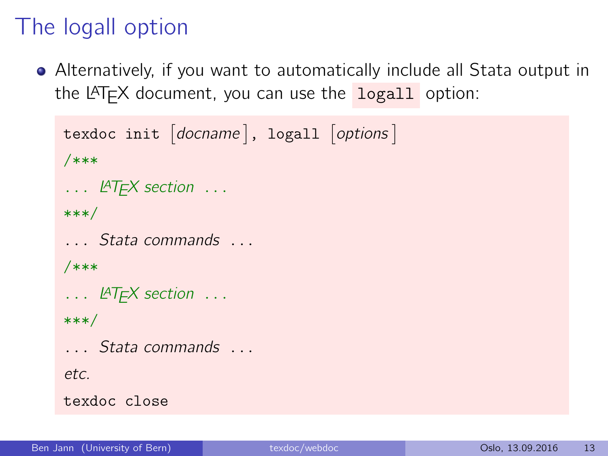## The logall option

Alternatively, if you want to automatically include all Stata output in the  $\angle$ FFX document, you can use the logall option:

```
texdocint [docname], logall [options]
/***
... LAT<sub>F</sub>X section ...
***/
... Stata commands ...
/***
... LAT<sub>F</sub>X section ...
***/
... Stata commands ...
etc.
texdoc close
```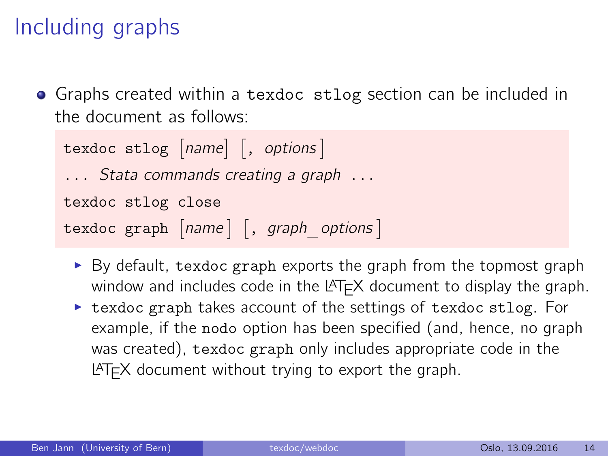## Including graphs

**•** Graphs created within a texdoc stlog section can be included in the document as follows:

```
texdoc stlog |name| , options
... Stata commands creating a graph ...
texdoc stlog close
texdoc graph [name] [, graph options ]
```
- $\triangleright$  By default, texdoc graph exports the graph from the topmost graph window and includes code in the  $L^2E^2$  document to display the graph.
- $\triangleright$  texdoc graph takes account of the settings of texdoc stlog. For example, if the nodo option has been specified (and, hence, no graph was created), texdoc graph only includes appropriate code in the  $LAT$  document without trying to export the graph.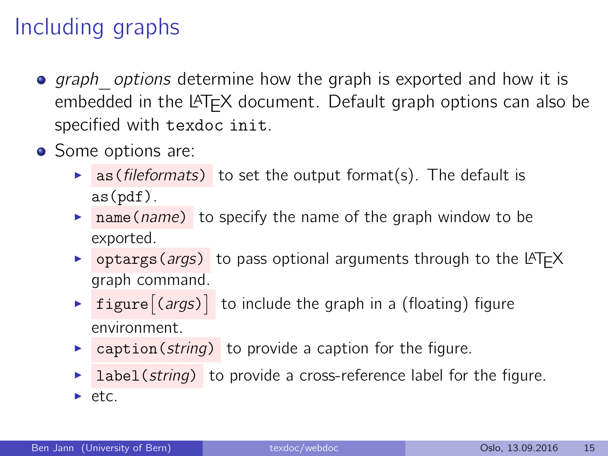## Including graphs

- $\bullet$  graph *options* determine how the graph is exported and how it is embedded in the LAT<sub>EX</sub> document. Default graph options can also be specified with texdoc init.
- Some options are:
	- **as (fileformats)** to set the output format(s). The default is as(pdf).
	- $\triangleright$  name(name) to specify the name of the graph window to be exported.
	- $\triangleright$  optargs(*args*) to pass optional arguments through to the LAT<sub>F</sub>X graph command.
	- **Figure**  $\left[\text{(args)}\right]$  to include the graph in a (floating) figure environment.
	- $\triangleright$  caption(string) to provide a caption for the figure.
	- **label(string)** to provide a cross-reference label for the figure.
	- $\blacktriangleright$  etc.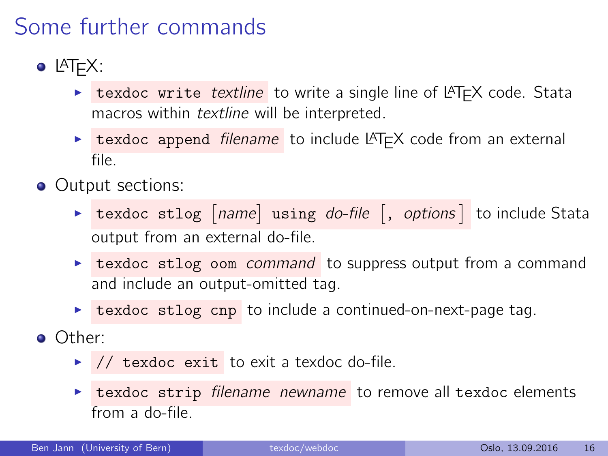## Some further commands

- $\bullet$  LAT<sub>F</sub>X:
	- $\triangleright$  texdoc write *textline* to write a single line of LATEX code. Stata macros within textline will be interpreted.
	- **Example 1** texdoc append *filename* to include LAT<sub>E</sub>X code from an external file.
- Output sections:
	- $\triangleright$  texdoc stlog  $[name]$  using *do-file*  $\lfloor$ , *options* to include Stata output from an external do-file.
	- $\triangleright$  texdoc stlog oom command to suppress output from a command and include an output-omitted tag.
	- $\triangleright$  texdoc stlog cnp to include a continued-on-next-page tag.
- Other:
	- $\blacktriangleright$  // texdoc exit to exit a texdoc do-file.
	- $\triangleright$  texdoc strip filename newname to remove all texdoc elements from a do-file.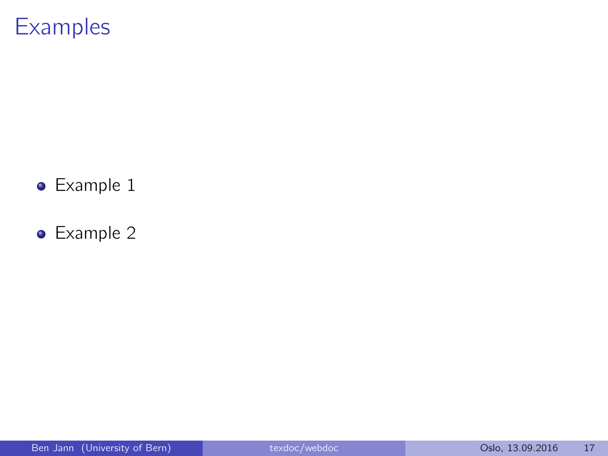#### **Examples**

- **•** Example 1
- Example 2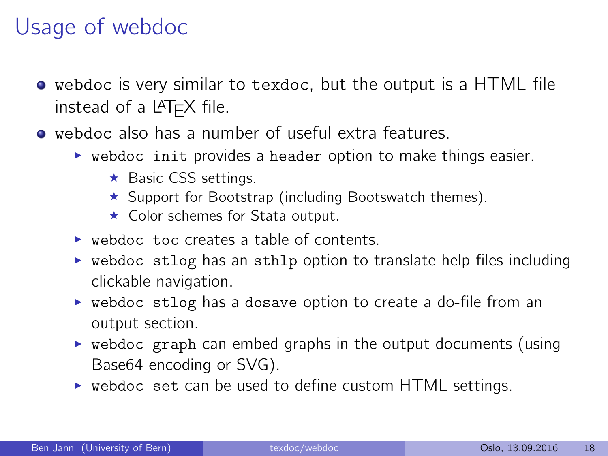## Usage of webdoc

- webdoc is very similar to texdoc, but the output is a HTML file instead of a  $L^{\text{AT}}$ FX file.
- webdoc also has a number of useful extra features.
	- $\triangleright$  webdoc init provides a header option to make things easier.
		- $\star$  Basic CSS settings.
		- $\star$  Support for [Bootstrap](http://getbootstrap.com) (including [Bootswatch](https://bootswatch.com) themes).
		- $\star$  Color schemes for Stata output.
	- $\triangleright$  webdoc toc creates a table of contents.
	- $\triangleright$  webdoc stlog has an sthlp option to translate help files including clickable navigation.
	- $\triangleright$  webdoc stlog has a dosave option to create a do-file from an output section.
	- $\triangleright$  webdoc graph can embed graphs in the output documents (using Base64 encoding or SVG).
	- $\triangleright$  webdoc set can be used to define custom HTML settings.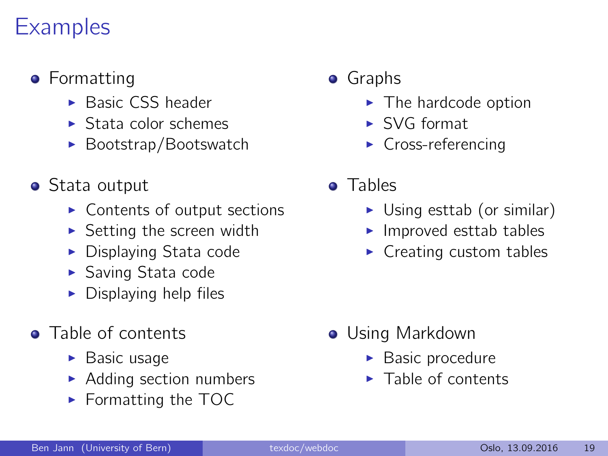## **Examples**

- **•** Formatting
	- $\blacktriangleright$  [Basic CSS header](http://repec.sowi.unibe.ch/stata/webdoc/formatting.html#h-2)
	- $\blacktriangleright$  [Stata color schemes](http://repec.sowi.unibe.ch/stata/webdoc/formatting.html#h-3)
	- $\blacktriangleright$  [Bootstrap/Bootswatch](http://repec.sowi.unibe.ch/stata/webdoc/formatting.html#h-4)
- Stata output
	- $\triangleright$  [Contents of output sections](http://repec.sowi.unibe.ch/stata/webdoc/stata-output.html#h-2)
	- $\triangleright$  [Setting the screen width](http://repec.sowi.unibe.ch/stata/webdoc/stata-output.html#h-3)
	- $\blacktriangleright$  [Displaying Stata code](http://repec.sowi.unibe.ch/stata/webdoc/stata-output.html#h-7)
	- $\blacktriangleright$  [Saving Stata code](http://repec.sowi.unibe.ch/stata/webdoc/stata-output.html#h-8)
	- $\triangleright$  [Displaying help files](http://repec.sowi.unibe.ch/stata/webdoc/stata-output.html#h-9)
- Table of contents
	- $\blacktriangleright$  [Basic usage](http://repec.sowi.unibe.ch/stata/webdoc/table-of-contents.html#h-1)
	- $\blacktriangleright$  [Adding section numbers](http://repec.sowi.unibe.ch/stata/webdoc/table-of-contents.html#h-2)
	- $\blacktriangleright$  [Formatting the TOC](http://repec.sowi.unibe.ch/stata/webdoc/table-of-contents.html#h-3)
- **•** Graphs
	- $\blacktriangleright$  [The hardcode option](http://repec.sowi.unibe.ch/stata/webdoc/graphs.html#h-6)
	- $\triangleright$  [SVG format](http://repec.sowi.unibe.ch/stata/webdoc/graphs.html#h-2)
	- $\triangleright$  [Cross-referencing](http://repec.sowi.unibe.ch/stata/webdoc/graphs.html#h-7)
- **o** Tables
	- $\triangleright$  [Using esttab \(or similar\)](http://repec.sowi.unibe.ch/stata/webdoc/tables.html#h-1)
	- $\blacktriangleright$  [Improved esttab tables](http://repec.sowi.unibe.ch/stata/webdoc/tables.html#h-2)
	- $\blacktriangleright$  [Creating custom tables](http://repec.sowi.unibe.ch/stata/webdoc/tables.html#h-3)

- **•** Using Markdown
	- $\blacktriangleright$  [Basic procedure](http://repec.sowi.unibe.ch/stata/webdoc/getting-started.html#h-2)
	- $\blacktriangleright$  [Table of contents](http://repec.sowi.unibe.ch/stata/webdoc/table-of-contents.html#h-4)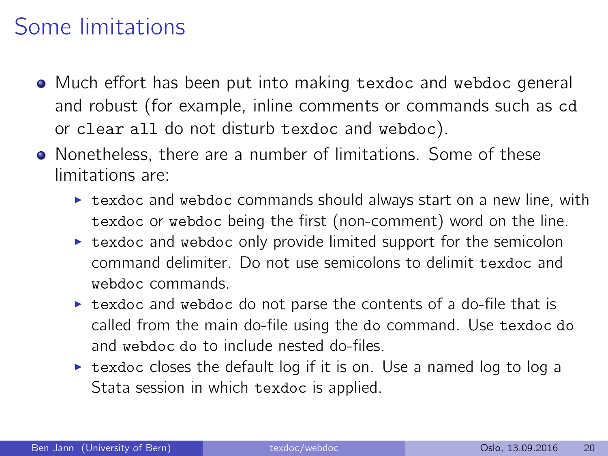## Some limitations

- Much effort has been put into making texdoc and webdoc general and robust (for example, inline comments or commands such as cd or clear all do not disturb texdoc and webdoc).
- Nonetheless, there are a number of limitations. Some of these limitations are:
	- $\triangleright$  texdoc and webdoc commands should always start on a new line, with texdoc or webdoc being the first (non-comment) word on the line.
	- $\triangleright$  texdoc and webdoc only provide limited support for the semicolon command delimiter. Do not use semicolons to delimit texdoc and webdoc commands.
	- $\triangleright$  texdoc and webdoc do not parse the contents of a do-file that is called from the main do-file using the do command. Use texdoc do and webdoc do to include nested do-files.
	- $\triangleright$  texdoc closes the default log if it is on. Use a named log to log a Stata session in which texdoc is applied.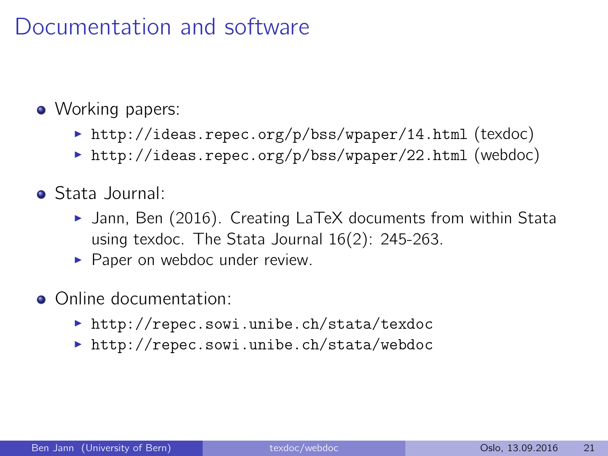#### Documentation and software

#### • Working papers:

- <http://ideas.repec.org/p/bss/wpaper/14.html> (texdoc)
- $\triangleright$  <http://ideas.repec.org/p/bss/wpaper/22.html> (webdoc)
- Stata Journal:
	- $\blacktriangleright$  Jann, Ben (2016). [Creating LaTeX documents from within Stata](http://www.stata-journal.com/article.html?article=pr0062) [using texdoc.](http://www.stata-journal.com/article.html?article=pr0062) The Stata Journal 16(2): 245-263.
	- $\blacktriangleright$  Paper on webdoc under review.
- Online documentation:
	- ▶ <http://repec.sowi.unibe.ch/stata/texdoc>
	- $\triangleright$  <http://repec.sowi.unibe.ch/stata/webdoc>